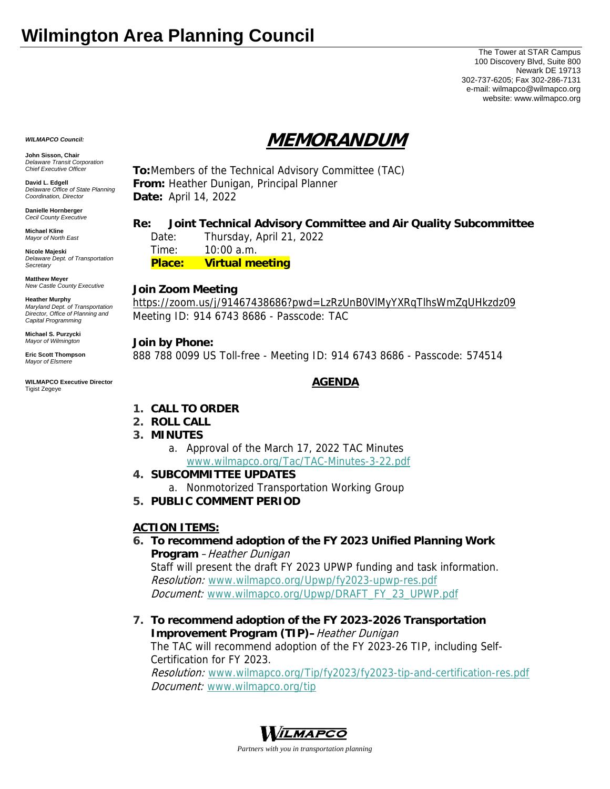# **Wilmington Area Planning Council**

The Tower at STAR Campus 100 Discovery Blvd, Suite 800 Newark DE 19713 302-737-6205; Fax 302-286-7131 e-mail: wilmapco@wilmapco.org website: www.wilmapco.org

# **MEMORANDUM**

*WILMAPCO Council:*

**John Sisson, Chair**  *Delaware Transit Corporation Chief Executive Officer*

**David L. Edgell**  *Delaware Office of State Planning Coordination, Director*

**Danielle Hornberger** *Cecil County Executive* 

**Michael Kline**  *Mayor of North East* 

**Nicole Majeski**  *Delaware Dept. of Transportation Secretary*

**Matthew Meyer**  *New Castle County Executive* 

**Heather Murphy**  *Maryland Dept. of Transportation Director, Office of Planning and Capital Programming* 

**Michael S. Purzycki**  *Mayor of Wilmington*

**Eric Scott Thompson**  *Mayor of Elsmere* 

**WILMAPCO Executive Director**  Tigist Zegeye

**To:**Members of the Technical Advisory Committee (TAC) **From:** Heather Dunigan, Principal Planner **Date:** April 14, 2022

### **Re: Joint Technical Advisory Committee and Air Quality Subcommittee**

 Date: Thursday, April 21, 2022 Time: 10:00 a.m. **Place: Virtual meeting**

### **Join Zoom Meeting**

https://zoom.us/j/91467438686?pwd=LzRzUnB0VlMyYXRqTlhsWmZqUHkzdz09 Meeting ID: 914 6743 8686 - Passcode: TAC

### **Join by Phone:**

888 788 0099 US Toll-free - Meeting ID: 914 6743 8686 - Passcode: 574514

## **AGENDA**

- **1. CALL TO ORDER**
- **2. ROLL CALL**
- **3. MINUTES**
	- a. Approval of the March 17, 2022 TAC Minutes www.wilmapco.org/Tac/TAC-Minutes-3-22.pdf
- **4. SUBCOMMITTEE UPDATES** 
	- a. Nonmotorized Transportation Working Group
- **5. PUBLIC COMMENT PERIOD**

### **ACTION ITEMS:**

# **6. To recommend adoption of the FY 2023 Unified Planning Work Program** – Heather Dunigan

Staff will present the draft FY 2023 UPWP funding and task information. Resolution: www.wilmapco.org/Upwp/fy2023-upwp-res.pdf Document: www.wilmapco.org/Upwp/DRAFT\_FY\_23\_UPWP.pdf

**7. To recommend adoption of the FY 2023-2026 Transportation Improvement Program (TIP)**–Heather Dunigan

The TAC will recommend adoption of the FY 2023-26 TIP, including Self-Certification for FY 2023.

Resolution: www.wilmapco.org/Tip/fy2023/fy2023-tip-and-certification-res.pdf Document: www.wilmapco.org/tip



*Partners with you in transportation planning*